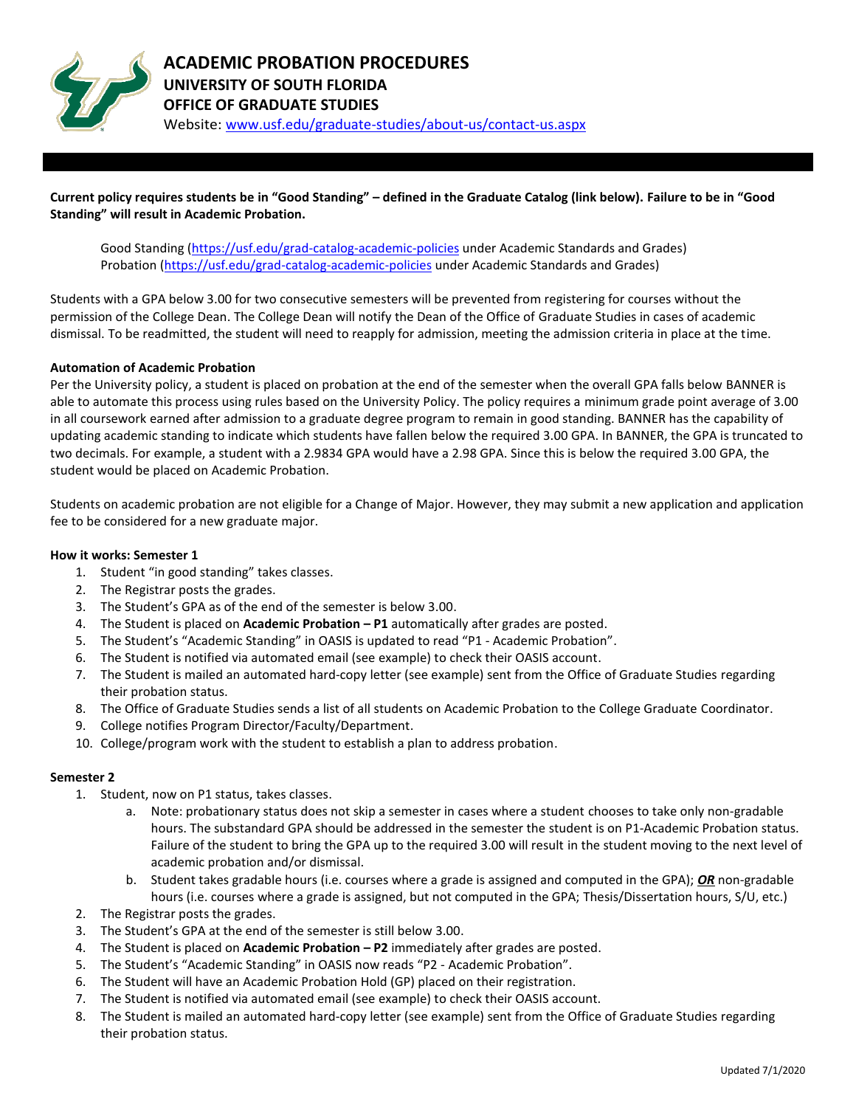

**Current policy requires students be in "Good Standing" – defined in the Graduate Catalog (link below). Failure to be in "Good Standing" will result in Academic Probation.**

Good Standing [\(https://usf.edu/grad-catalog-academic-policies](https://usf.edu/grad-catalog-academic-policies) under Academic Standards and Grades) Probation [\(https://usf.edu/grad-catalog-academic-policies](https://usf.edu/grad-catalog-academic-policies) under Academic Standards and Grades)

Students with a GPA below 3.00 for two consecutive semesters will be prevented from registering for courses without the permission of the College Dean. The College Dean will notify the Dean of the Office of Graduate Studies in cases of academic dismissal. To be readmitted, the student will need to reapply for admission, meeting the admission criteria in place at the time.

### **Automation of Academic Probation**

Per the University policy, a student is placed on probation at the end of the semester when the overall GPA falls below BANNER is able to automate this process using rules based on the University Policy. The policy requires a minimum grade point average of 3.00 in all coursework earned after admission to a graduate degree program to remain in good standing. BANNER has the capability of updating academic standing to indicate which students have fallen below the required 3.00 GPA. In BANNER, the GPA is truncated to two decimals. For example, a student with a 2.9834 GPA would have a 2.98 GPA. Since this is below the required 3.00 GPA, the student would be placed on Academic Probation.

Students on academic probation are not eligible for a Change of Major. However, they may submit a new application and application fee to be considered for a new graduate major.

### **How it works: Semester 1**

- 1. Student "in good standing" takes classes.
- 2. The Registrar posts the grades.
- 3. The Student's GPA as of the end of the semester is below 3.00.
- 4. The Student is placed on **Academic Probation – P1** automatically after grades are posted.
- 5. The Student's "Academic Standing" in OASIS is updated to read "P1 ‐ Academic Probation".
- 6. The Student is notified via automated email (see example) to check their OASIS account.
- 7. The Student is mailed an automated hard-copy letter (see example) sent from the Office of Graduate Studies regarding their probation status.
- 8. The Office of Graduate Studies sends a list of all students on Academic Probation to the College Graduate Coordinator.
- 9. College notifies Program Director/Faculty/Department.
- 10. College/program work with the student to establish a plan to address probation.

### **Semester 2**

- 1. Student, now on P1 status, takes classes.
	- a. Note: probationary status does not skip a semester in cases where a student chooses to take only non‐gradable hours. The substandard GPA should be addressed in the semester the student is on P1‐Academic Probation status. Failure of the student to bring the GPA up to the required 3.00 will result in the student moving to the next level of academic probation and/or dismissal.
	- b. Student takes gradable hours (i.e. courses where a grade is assigned and computed in the GPA); *OR* non‐gradable hours (i.e. courses where a grade is assigned, but not computed in the GPA; Thesis/Dissertation hours, S/U, etc.)
- 2. The Registrar posts the grades.
- 3. The Student's GPA at the end of the semester is still below 3.00.
- 4. The Student is placed on **Academic Probation – P2** immediately after grades are posted.
- 5. The Student's "Academic Standing" in OASIS now reads "P2 ‐ Academic Probation".
- 6. The Student will have an Academic Probation Hold (GP) placed on their registration.
- 7. The Student is notified via automated email (see example) to check their OASIS account.
- 8. The Student is mailed an automated hard-copy letter (see example) sent from the Office of Graduate Studies regarding their probation status.